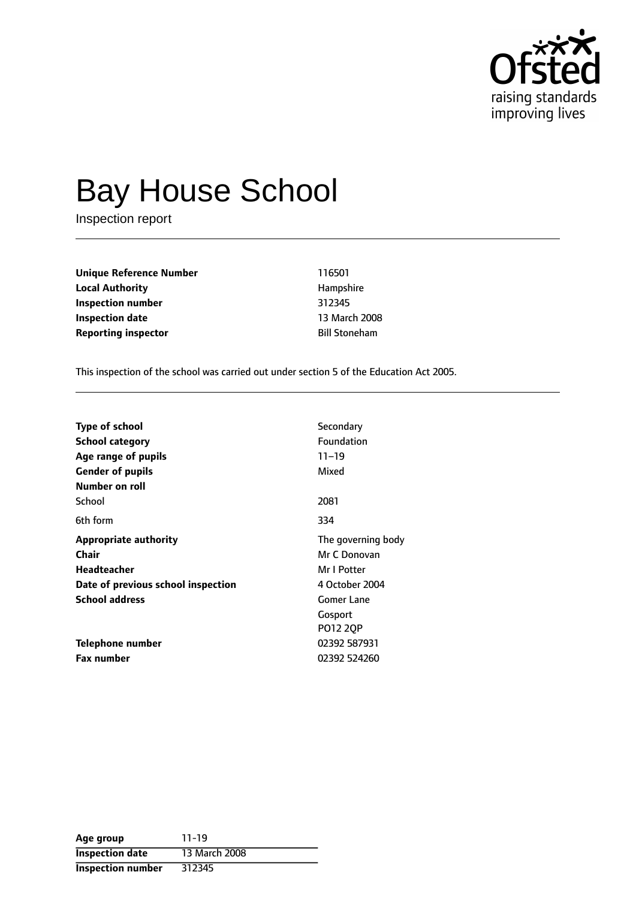

# Bay House School

Inspection report

| Unique Reference Number    | 116501               |  |
|----------------------------|----------------------|--|
| Local Authority            | Hampshire            |  |
| Inspection number          | 312345               |  |
| Inspection date            | 13 March 2008        |  |
| <b>Reporting inspector</b> | <b>Bill Stoneham</b> |  |
|                            |                      |  |

This inspection of the school was carried out under section 5 of the Education Act 2005.

| <b>Type of school</b>              | Secondary          |
|------------------------------------|--------------------|
| School category                    | <b>Foundation</b>  |
| Age range of pupils                | $11 - 19$          |
| <b>Gender of pupils</b>            | Mixed              |
| Number on roll                     |                    |
| School                             | 2081               |
| 6th form                           | 334                |
| <b>Appropriate authority</b>       | The governing body |
| Chair                              | Mr C Donovan       |
| <b>Headteacher</b>                 | Mr I Potter        |
| Date of previous school inspection | 4 October 2004     |
| <b>School address</b>              | <b>Gomer Lane</b>  |
|                                    | Gosport            |
|                                    | PO12 2QP           |
| <b>Telephone number</b>            | 02392 587931       |
| <b>Fax number</b>                  | 02392 524260       |

| Age group                | $11 - 19$     |
|--------------------------|---------------|
| <b>Inspection date</b>   | 13 March 2008 |
| <b>Inspection number</b> | 312345        |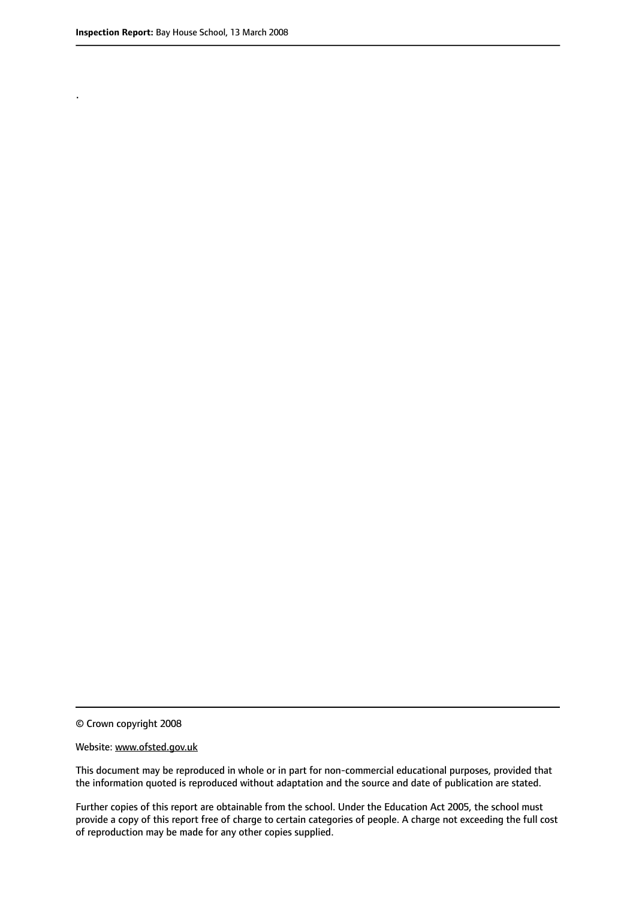.

© Crown copyright 2008

#### Website: www.ofsted.gov.uk

This document may be reproduced in whole or in part for non-commercial educational purposes, provided that the information quoted is reproduced without adaptation and the source and date of publication are stated.

Further copies of this report are obtainable from the school. Under the Education Act 2005, the school must provide a copy of this report free of charge to certain categories of people. A charge not exceeding the full cost of reproduction may be made for any other copies supplied.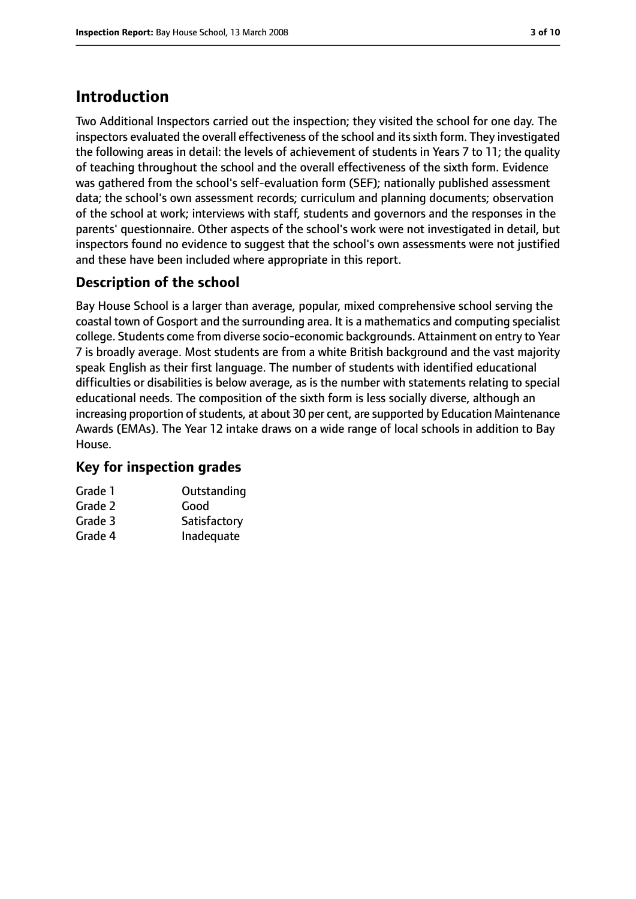# **Introduction**

Two Additional Inspectors carried out the inspection; they visited the school for one day. The inspectors evaluated the overall effectiveness of the school and itssixth form. They investigated the following areas in detail: the levels of achievement of students in Years 7 to 11; the quality of teaching throughout the school and the overall effectiveness of the sixth form. Evidence was gathered from the school's self-evaluation form (SEF); nationally published assessment data; the school's own assessment records; curriculum and planning documents; observation of the school at work; interviews with staff, students and governors and the responses in the parents' questionnaire. Other aspects of the school's work were not investigated in detail, but inspectors found no evidence to suggest that the school's own assessments were not justified and these have been included where appropriate in this report.

# **Description of the school**

Bay House School is a larger than average, popular, mixed comprehensive school serving the coastal town of Gosport and the surrounding area. It is a mathematics and computing specialist college. Students come from diverse socio-economic backgrounds. Attainment on entry to Year 7 is broadly average. Most students are from a white British background and the vast majority speak English as their first language. The number of students with identified educational difficulties or disabilities is below average, as is the number with statements relating to special educational needs. The composition of the sixth form is less socially diverse, although an increasing proportion of students, at about 30 per cent, are supported by Education Maintenance Awards (EMAs). The Year 12 intake draws on a wide range of local schools in addition to Bay House.

## **Key for inspection grades**

| Grade 1 | Outstanding  |
|---------|--------------|
| Grade 2 | Good         |
| Grade 3 | Satisfactory |
| Grade 4 | Inadequate   |
|         |              |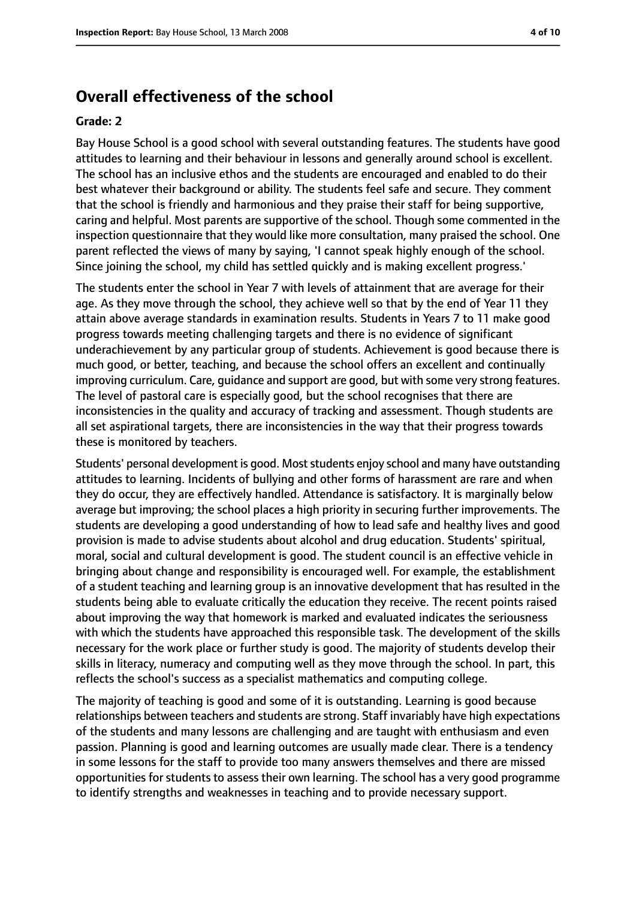# **Overall effectiveness of the school**

#### **Grade: 2**

Bay House School is a good school with several outstanding features. The students have good attitudes to learning and their behaviour in lessons and generally around school is excellent. The school has an inclusive ethos and the students are encouraged and enabled to do their best whatever their background or ability. The students feel safe and secure. They comment that the school is friendly and harmonious and they praise their staff for being supportive, caring and helpful. Most parents are supportive of the school. Though some commented in the inspection questionnaire that they would like more consultation, many praised the school. One parent reflected the views of many by saying, 'I cannot speak highly enough of the school. Since joining the school, my child has settled quickly and is making excellent progress.'

The students enter the school in Year 7 with levels of attainment that are average for their age. As they move through the school, they achieve well so that by the end of Year 11 they attain above average standards in examination results. Students in Years 7 to 11 make good progress towards meeting challenging targets and there is no evidence of significant underachievement by any particular group of students. Achievement is good because there is much good, or better, teaching, and because the school offers an excellent and continually improving curriculum. Care, guidance and support are good, but with some very strong features. The level of pastoral care is especially good, but the school recognises that there are inconsistencies in the quality and accuracy of tracking and assessment. Though students are all set aspirational targets, there are inconsistencies in the way that their progress towards these is monitored by teachers.

Students' personal development is good. Most students enjoy school and many have outstanding attitudes to learning. Incidents of bullying and other forms of harassment are rare and when they do occur, they are effectively handled. Attendance is satisfactory. It is marginally below average but improving; the school places a high priority in securing further improvements. The students are developing a good understanding of how to lead safe and healthy lives and good provision is made to advise students about alcohol and drug education. Students' spiritual, moral, social and cultural development is good. The student council is an effective vehicle in bringing about change and responsibility is encouraged well. For example, the establishment of a student teaching and learning group is an innovative development that has resulted in the students being able to evaluate critically the education they receive. The recent points raised about improving the way that homework is marked and evaluated indicates the seriousness with which the students have approached this responsible task. The development of the skills necessary for the work place or further study is good. The majority of students develop their skills in literacy, numeracy and computing well as they move through the school. In part, this reflects the school's success as a specialist mathematics and computing college.

The majority of teaching is good and some of it is outstanding. Learning is good because relationships between teachers and students are strong. Staff invariably have high expectations of the students and many lessons are challenging and are taught with enthusiasm and even passion. Planning is good and learning outcomes are usually made clear. There is a tendency in some lessons for the staff to provide too many answers themselves and there are missed opportunities for students to assess their own learning. The school has a very good programme to identify strengths and weaknesses in teaching and to provide necessary support.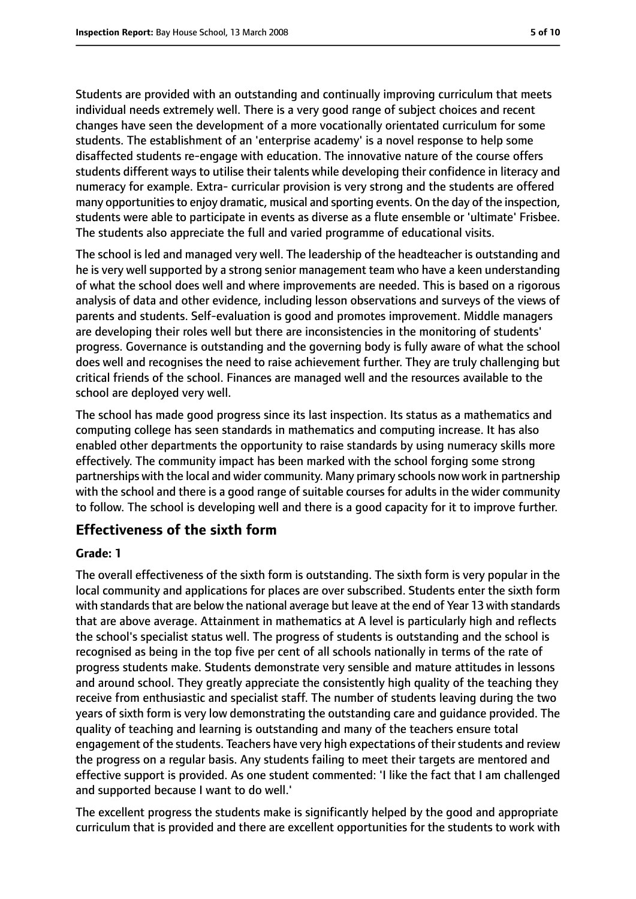Students are provided with an outstanding and continually improving curriculum that meets individual needs extremely well. There is a very good range of subject choices and recent changes have seen the development of a more vocationally orientated curriculum for some students. The establishment of an 'enterprise academy' is a novel response to help some disaffected students re-engage with education. The innovative nature of the course offers students different ways to utilise their talents while developing their confidence in literacy and numeracy for example. Extra- curricular provision is very strong and the students are offered many opportunities to enjoy dramatic, musical and sporting events. On the day of the inspection, students were able to participate in events as diverse as a flute ensemble or 'ultimate' Frisbee. The students also appreciate the full and varied programme of educational visits.

The school is led and managed very well. The leadership of the headteacher is outstanding and he is very well supported by a strong senior management team who have a keen understanding of what the school does well and where improvements are needed. This is based on a rigorous analysis of data and other evidence, including lesson observations and surveys of the views of parents and students. Self-evaluation is good and promotes improvement. Middle managers are developing their roles well but there are inconsistencies in the monitoring of students' progress. Governance is outstanding and the governing body is fully aware of what the school does well and recognises the need to raise achievement further. They are truly challenging but critical friends of the school. Finances are managed well and the resources available to the school are deployed very well.

The school has made good progress since its last inspection. Its status as a mathematics and computing college has seen standards in mathematics and computing increase. It has also enabled other departments the opportunity to raise standards by using numeracy skills more effectively. The community impact has been marked with the school forging some strong partnerships with the local and wider community. Many primary schools now work in partnership with the school and there is a good range of suitable courses for adults in the wider community to follow. The school is developing well and there is a good capacity for it to improve further.

## **Effectiveness of the sixth form**

#### **Grade: 1**

The overall effectiveness of the sixth form is outstanding. The sixth form is very popular in the local community and applications for places are over subscribed. Students enter the sixth form with standards that are below the national average but leave at the end of Year 13 with standards that are above average. Attainment in mathematics at A level is particularly high and reflects the school's specialist status well. The progress of students is outstanding and the school is recognised as being in the top five per cent of all schools nationally in terms of the rate of progress students make. Students demonstrate very sensible and mature attitudes in lessons and around school. They greatly appreciate the consistently high quality of the teaching they receive from enthusiastic and specialist staff. The number of students leaving during the two years of sixth form is very low demonstrating the outstanding care and guidance provided. The quality of teaching and learning is outstanding and many of the teachers ensure total engagement of the students. Teachers have very high expectations of their students and review the progress on a regular basis. Any students failing to meet their targets are mentored and effective support is provided. As one student commented: 'I like the fact that I am challenged and supported because I want to do well.'

The excellent progress the students make is significantly helped by the good and appropriate curriculum that is provided and there are excellent opportunities for the students to work with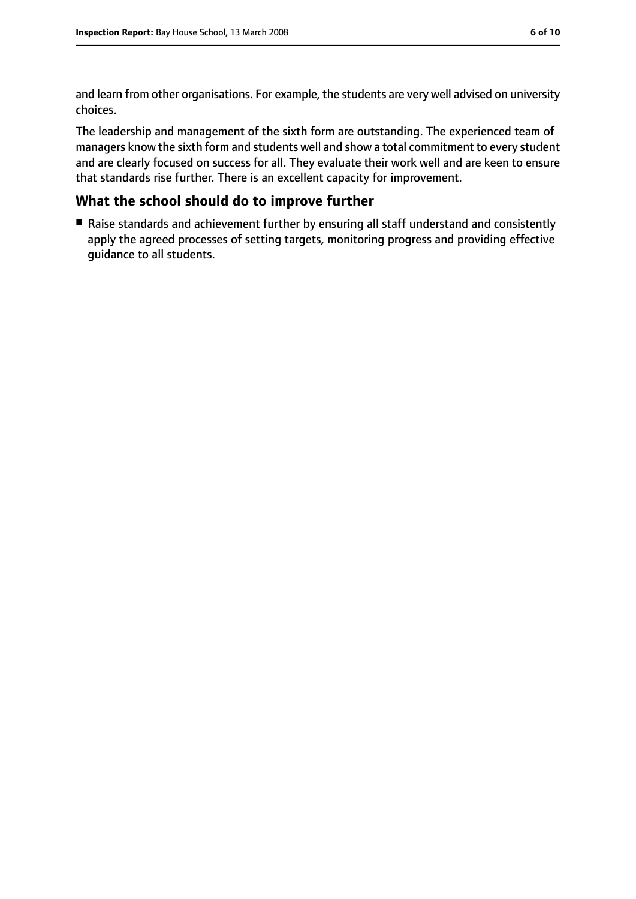and learn from other organisations. For example, the students are very well advised on university choices.

The leadership and management of the sixth form are outstanding. The experienced team of managers know the sixth form and students well and show a total commitment to every student and are clearly focused on success for all. They evaluate their work well and are keen to ensure that standards rise further. There is an excellent capacity for improvement.

### **What the school should do to improve further**

■ Raise standards and achievement further by ensuring all staff understand and consistently apply the agreed processes of setting targets, monitoring progress and providing effective guidance to all students.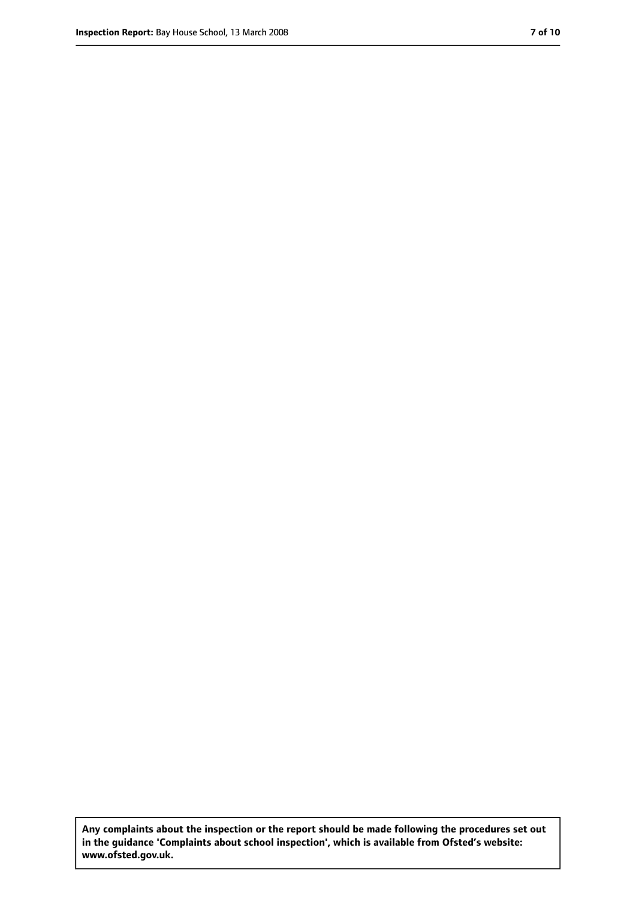**Any complaints about the inspection or the report should be made following the procedures set out in the guidance 'Complaints about school inspection', which is available from Ofsted's website: www.ofsted.gov.uk.**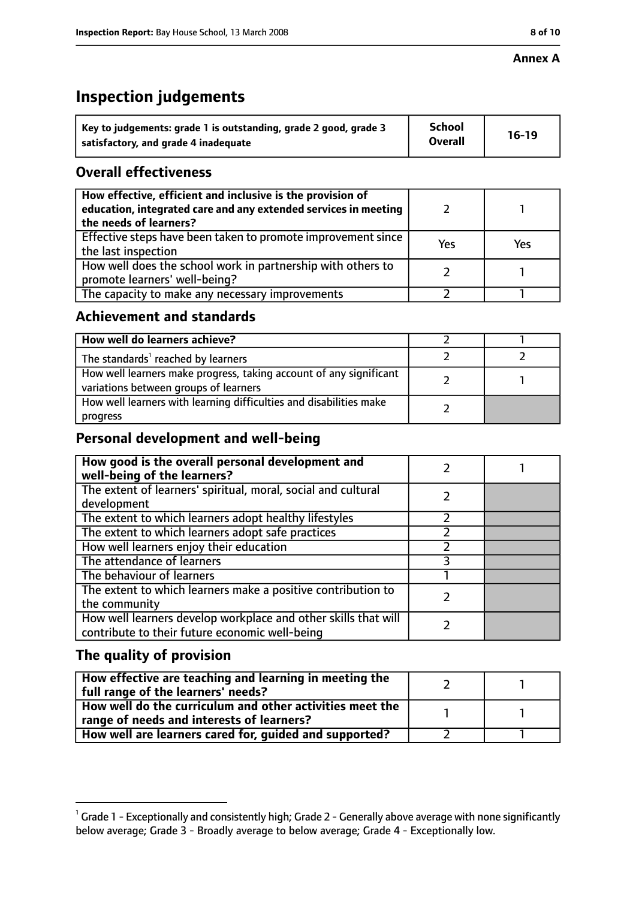#### **Annex A**

# **Inspection judgements**

| Key to judgements: grade 1 is outstanding, grade 2 good, grade 3 | <b>School</b>  | $16-19$ |
|------------------------------------------------------------------|----------------|---------|
| satisfactory, and grade 4 inadequate                             | <b>Overall</b> |         |

## **Overall effectiveness**

| How effective, efficient and inclusive is the provision of<br>education, integrated care and any extended services in meeting<br>the needs of learners? |     |     |
|---------------------------------------------------------------------------------------------------------------------------------------------------------|-----|-----|
| Effective steps have been taken to promote improvement since<br>the last inspection                                                                     | Yes | Yes |
| How well does the school work in partnership with others to<br>promote learners' well-being?                                                            |     |     |
| The capacity to make any necessary improvements                                                                                                         |     |     |

## **Achievement and standards**

| How well do learners achieve?                                                                               |  |
|-------------------------------------------------------------------------------------------------------------|--|
| The standards <sup>1</sup> reached by learners                                                              |  |
| How well learners make progress, taking account of any significant<br>variations between groups of learners |  |
| How well learners with learning difficulties and disabilities make<br>progress                              |  |

# **Personal development and well-being**

| How good is the overall personal development and<br>well-being of the learners?                                  |  |
|------------------------------------------------------------------------------------------------------------------|--|
| The extent of learners' spiritual, moral, social and cultural<br>development                                     |  |
| The extent to which learners adopt healthy lifestyles                                                            |  |
| The extent to which learners adopt safe practices                                                                |  |
| How well learners enjoy their education                                                                          |  |
| The attendance of learners                                                                                       |  |
| The behaviour of learners                                                                                        |  |
| The extent to which learners make a positive contribution to<br>the community                                    |  |
| How well learners develop workplace and other skills that will<br>contribute to their future economic well-being |  |

# **The quality of provision**

| How effective are teaching and learning in meeting the<br>full range of the learners' needs?          |  |
|-------------------------------------------------------------------------------------------------------|--|
| How well do the curriculum and other activities meet the<br>range of needs and interests of learners? |  |
| How well are learners cared for, guided and supported?                                                |  |

 $^1$  Grade 1 - Exceptionally and consistently high; Grade 2 - Generally above average with none significantly below average; Grade 3 - Broadly average to below average; Grade 4 - Exceptionally low.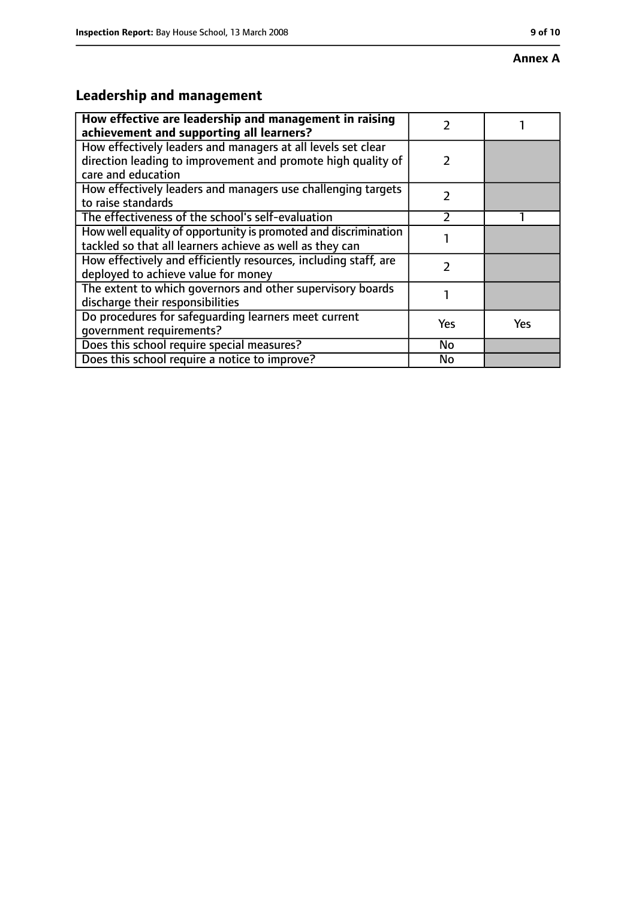#### **Annex A**

# **Leadership and management**

| How effective are leadership and management in raising<br>achievement and supporting all learners?                                                 | 7             |            |
|----------------------------------------------------------------------------------------------------------------------------------------------------|---------------|------------|
| How effectively leaders and managers at all levels set clear<br>direction leading to improvement and promote high quality of<br>care and education | $\mathcal{P}$ |            |
| How effectively leaders and managers use challenging targets<br>to raise standards                                                                 | $\mathcal{P}$ |            |
| The effectiveness of the school's self-evaluation                                                                                                  |               |            |
| How well equality of opportunity is promoted and discrimination<br>tackled so that all learners achieve as well as they can                        |               |            |
| How effectively and efficiently resources, including staff, are<br>deployed to achieve value for money                                             | 2             |            |
| The extent to which governors and other supervisory boards<br>discharge their responsibilities                                                     |               |            |
| Do procedures for safeguarding learners meet current<br>qovernment requirements?                                                                   | Yes           | <b>Yes</b> |
| Does this school require special measures?                                                                                                         | No            |            |
| Does this school require a notice to improve?                                                                                                      | No            |            |